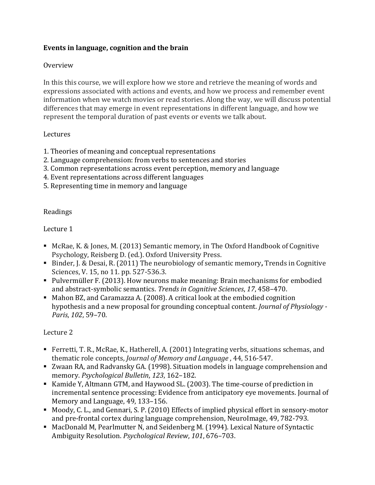### **Events in language, cognition and the brain**

### Overview

In this this course, we will explore how we store and retrieve the meaning of words and expressions associated with actions and events, and how we process and remember event information when we watch movies or read stories. Along the way, we will discuss potential differences that may emerge in event representations in different language, and how we represent the temporal duration of past events or events we talk about.

#### Lectures

- 1. Theories of meaning and conceptual representations
- 2. Language comprehension: from verbs to sentences and stories
- 3. Common representations across event perception, memory and language
- 4. Event representations across different languages
- 5. Representing time in memory and language

#### Readings

#### Lecture 1

- McRae, K. & Jones, M. (2013) Semantic memory, in The Oxford Handbook of Cognitive Psychology, Reisberg D. (ed.). Oxford University Press.
- Binder, J. & Desai, R. (2011) The neurobiology of semantic memory**,** Trends in Cognitive Sciences, V. 15, no 11. pp. 527-536.3.
- Pulvermüller F. (2013). How neurons make meaning: Brain mechanisms for embodied and abstract-symbolic semantics. *Trends in Cognitive Sciences*, *17*, 458–470.
- Mahon BZ, and Caramazza A. (2008). A critical look at the embodied cognition hypothesis and a new proposal for grounding conceptual content. *Journal of Physiology - Paris*, *102*, 59–70.

#### Lecture 2

- Ferretti, T. R., McRae, K., Hatherell, A. (2001) Integrating verbs, situations schemas, and thematic role concepts, *Journal of Memory and Language* , 44, 516-547.
- Zwaan RA, and Radvansky GA. (1998). Situation models in language comprehension and memory. *Psychological Bulletin*, *123*, 162–182.
- Kamide Y, Altmann GTM, and Haywood SL. (2003). The time-course of prediction in incremental sentence processing: Evidence from anticipatory eye movements. Journal of Memory and Language, 49, 133–156.
- Moody, C. L., and Gennari, S. P. (2010) [Effects of implied physical effort in sensory-motor](https://dl.dropboxusercontent.com/u/22181878/Moody_and_Gennari_2010.pdf)  [and pre-frontal cortex during language comprehension,](https://dl.dropboxusercontent.com/u/22181878/Moody_and_Gennari_2010.pdf) NeuroImage, 49, 782-793.
- MacDonald M, Pearlmutter N, and Seidenberg M. (1994). Lexical Nature of Syntactic Ambiguity Resolution. *Psychological Review*, *101*, 676–703.